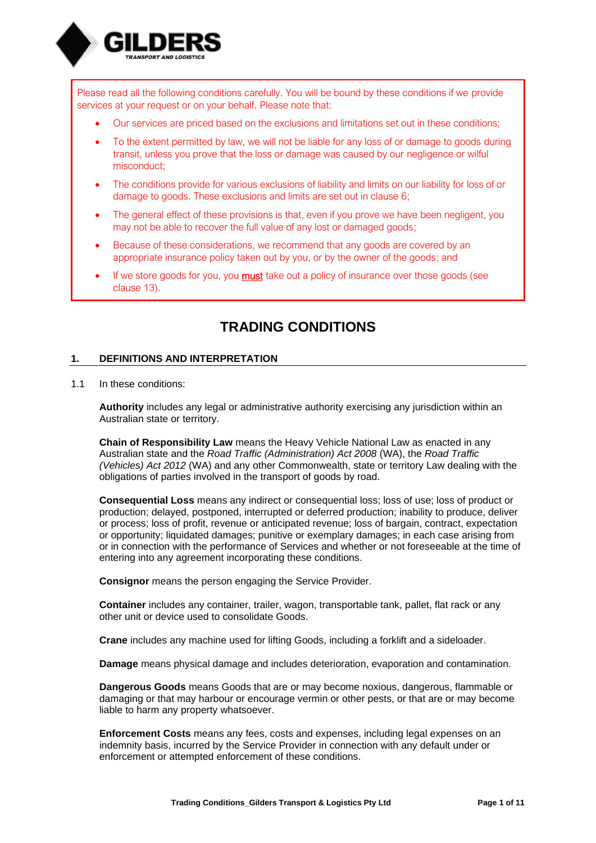

Please read all the following conditions carefully. You will be bound by these conditions if we provide services at your request or on your behalf. Please note that:

- Our services are priced based on the exclusions and limitations set out in these conditions;
- To the extent permitted by law, we will not be liable for any loss of or damage to goods during transit, unless you prove that the loss or damage was caused by our negligence or wilful misconduct;
- The conditions provide for various exclusions of liability and limits on our liability for loss of or damage to goods. These exclusions and limits are set out in clause [6;](#page-3-0)
- The general effect of these provisions is that, even if you prove we have been negligent, you may not be able to recover the full value of any lost or damaged goods;
- Because of these considerations, we recommend that any goods are covered by an appropriate insurance policy taken out by you, or by the owner of the goods; and
- If we store goods for you, you  $must$  take out a policy of insurance over those goods (see clause [13\)](#page-6-0).

# **TRADING CONDITIONS**

#### **1. DEFINITIONS AND INTERPRETATION**

1.1 In these conditions:

**Authority** includes any legal or administrative authority exercising any jurisdiction within an Australian state or territory.

**Chain of Responsibility Law** means the Heavy Vehicle National Law as enacted in any Australian state and the *Road Traffic (Administration) Act 2008* (WA), the *Road Traffic (Vehicles) Act 2012* (WA) and any other Commonwealth, state or territory Law dealing with the obligations of parties involved in the transport of goods by road.

**Consequential Loss** means any indirect or consequential loss; loss of use; loss of product or production; delayed, postponed, interrupted or deferred production; inability to produce, deliver or process; loss of profit, revenue or anticipated revenue; loss of bargain, contract, expectation or opportunity; liquidated damages; punitive or exemplary damages; in each case arising from or in connection with the performance of Services and whether or not foreseeable at the time of entering into any agreement incorporating these conditions.

**Consignor** means the person engaging the Service Provider.

**Container** includes any container, trailer, wagon, transportable tank, pallet, flat rack or any other unit or device used to consolidate Goods.

**Crane** includes any machine used for lifting Goods, including a forklift and a sideloader.

**Damage** means physical damage and includes deterioration, evaporation and contamination.

**Dangerous Goods** means Goods that are or may become noxious, dangerous, flammable or damaging or that may harbour or encourage vermin or other pests, or that are or may become liable to harm any property whatsoever.

**Enforcement Costs** means any fees, costs and expenses, including legal expenses on an indemnity basis, incurred by the Service Provider in connection with any default under or enforcement or attempted enforcement of these conditions.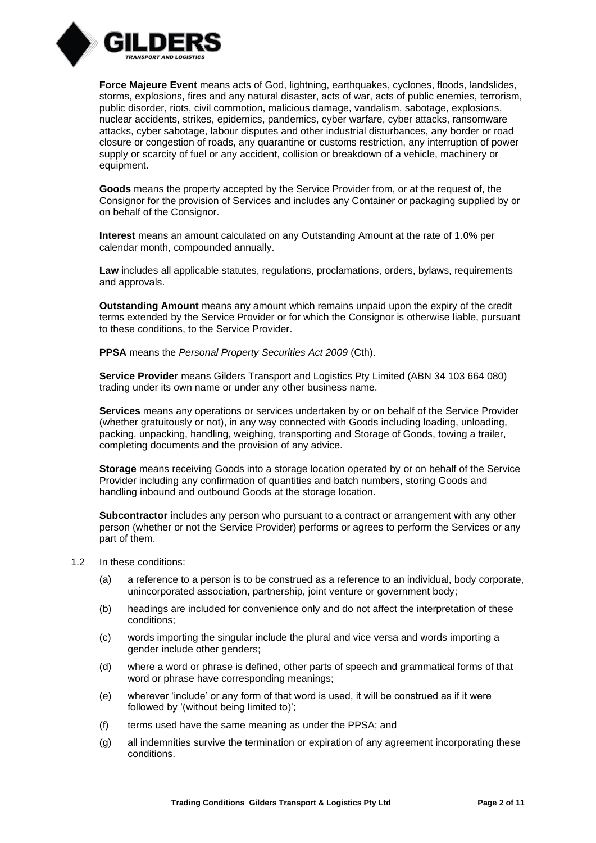

**Force Majeure Event** means acts of God, lightning, earthquakes, cyclones, floods, landslides, storms, explosions, fires and any natural disaster, acts of war, acts of public enemies, terrorism, public disorder, riots, civil commotion, malicious damage, vandalism, sabotage, explosions, nuclear accidents, strikes, epidemics, pandemics, cyber warfare, cyber attacks, ransomware attacks, cyber sabotage, labour disputes and other industrial disturbances, any border or road closure or congestion of roads, any quarantine or customs restriction, any interruption of power supply or scarcity of fuel or any accident, collision or breakdown of a vehicle, machinery or equipment.

**Goods** means the property accepted by the Service Provider from, or at the request of, the Consignor for the provision of Services and includes any Container or packaging supplied by or on behalf of the Consignor.

**Interest** means an amount calculated on any Outstanding Amount at the rate of 1.0% per calendar month, compounded annually.

Law includes all applicable statutes, regulations, proclamations, orders, bylaws, requirements and approvals.

**Outstanding Amount** means any amount which remains unpaid upon the expiry of the credit terms extended by the Service Provider or for which the Consignor is otherwise liable, pursuant to these conditions, to the Service Provider.

**PPSA** means the *Personal Property Securities Act 2009* (Cth).

**Service Provider** means Gilders Transport and Logistics Pty Limited (ABN 34 103 664 080) trading under its own name or under any other business name.

**Services** means any operations or services undertaken by or on behalf of the Service Provider (whether gratuitously or not), in any way connected with Goods including loading, unloading, packing, unpacking, handling, weighing, transporting and Storage of Goods, towing a trailer, completing documents and the provision of any advice.

**Storage** means receiving Goods into a storage location operated by or on behalf of the Service Provider including any confirmation of quantities and batch numbers, storing Goods and handling inbound and outbound Goods at the storage location.

**Subcontractor** includes any person who pursuant to a contract or arrangement with any other person (whether or not the Service Provider) performs or agrees to perform the Services or any part of them.

- 1.2 In these conditions:
	- (a) a reference to a person is to be construed as a reference to an individual, body corporate, unincorporated association, partnership, joint venture or government body;
	- (b) headings are included for convenience only and do not affect the interpretation of these conditions;
	- (c) words importing the singular include the plural and vice versa and words importing a gender include other genders;
	- (d) where a word or phrase is defined, other parts of speech and grammatical forms of that word or phrase have corresponding meanings;
	- (e) wherever 'include' or any form of that word is used, it will be construed as if it were followed by '(without being limited to)';
	- (f) terms used have the same meaning as under the PPSA; and
	- (g) all indemnities survive the termination or expiration of any agreement incorporating these conditions.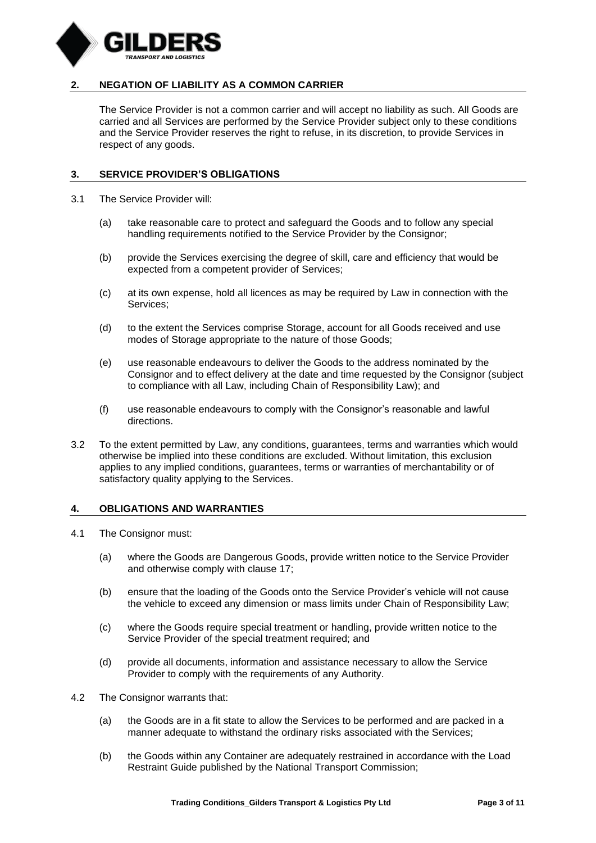

# **2. NEGATION OF LIABILITY AS A COMMON CARRIER**

The Service Provider is not a common carrier and will accept no liability as such. All Goods are carried and all Services are performed by the Service Provider subject only to these conditions and the Service Provider reserves the right to refuse, in its discretion, to provide Services in respect of any goods.

#### **3. SERVICE PROVIDER'S OBLIGATIONS**

- 3.1 The Service Provider will:
	- (a) take reasonable care to protect and safeguard the Goods and to follow any special handling requirements notified to the Service Provider by the Consignor;
	- (b) provide the Services exercising the degree of skill, care and efficiency that would be expected from a competent provider of Services;
	- (c) at its own expense, hold all licences as may be required by Law in connection with the Services;
	- (d) to the extent the Services comprise Storage, account for all Goods received and use modes of Storage appropriate to the nature of those Goods;
	- (e) use reasonable endeavours to deliver the Goods to the address nominated by the Consignor and to effect delivery at the date and time requested by the Consignor (subject to compliance with all Law, including Chain of Responsibility Law); and
	- (f) use reasonable endeavours to comply with the Consignor's reasonable and lawful directions.
- 3.2 To the extent permitted by Law, any conditions, guarantees, terms and warranties which would otherwise be implied into these conditions are excluded. Without limitation, this exclusion applies to any implied conditions, guarantees, terms or warranties of merchantability or of satisfactory quality applying to the Services.

#### **4. OBLIGATIONS AND WARRANTIES**

- 4.1 The Consignor must:
	- (a) where the Goods are Dangerous Goods, provide written notice to the Service Provider and otherwise comply with clause [17;](#page-9-0)
	- (b) ensure that the loading of the Goods onto the Service Provider's vehicle will not cause the vehicle to exceed any dimension or mass limits under Chain of Responsibility Law;
	- (c) where the Goods require special treatment or handling, provide written notice to the Service Provider of the special treatment required; and
	- (d) provide all documents, information and assistance necessary to allow the Service Provider to comply with the requirements of any Authority.
- 4.2 The Consignor warrants that:
	- (a) the Goods are in a fit state to allow the Services to be performed and are packed in a manner adequate to withstand the ordinary risks associated with the Services;
	- (b) the Goods within any Container are adequately restrained in accordance with the Load Restraint Guide published by the National Transport Commission;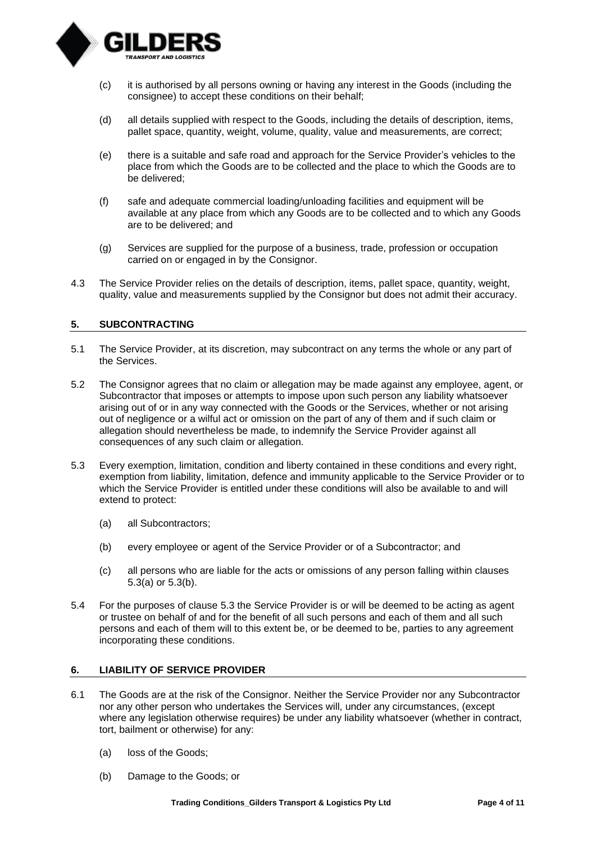

- (c) it is authorised by all persons owning or having any interest in the Goods (including the consignee) to accept these conditions on their behalf;
- (d) all details supplied with respect to the Goods, including the details of description, items, pallet space, quantity, weight, volume, quality, value and measurements, are correct;
- (e) there is a suitable and safe road and approach for the Service Provider's vehicles to the place from which the Goods are to be collected and the place to which the Goods are to be delivered;
- (f) safe and adequate commercial loading/unloading facilities and equipment will be available at any place from which any Goods are to be collected and to which any Goods are to be delivered; and
- (g) Services are supplied for the purpose of a business, trade, profession or occupation carried on or engaged in by the Consignor.
- 4.3 The Service Provider relies on the details of description, items, pallet space, quantity, weight, quality, value and measurements supplied by the Consignor but does not admit their accuracy.

# **5. SUBCONTRACTING**

- 5.1 The Service Provider, at its discretion, may subcontract on any terms the whole or any part of the Services.
- 5.2 The Consignor agrees that no claim or allegation may be made against any employee, agent, or Subcontractor that imposes or attempts to impose upon such person any liability whatsoever arising out of or in any way connected with the Goods or the Services, whether or not arising out of negligence or a wilful act or omission on the part of any of them and if such claim or allegation should nevertheless be made, to indemnify the Service Provider against all consequences of any such claim or allegation.
- <span id="page-3-3"></span><span id="page-3-1"></span>5.3 Every exemption, limitation, condition and liberty contained in these conditions and every right, exemption from liability, limitation, defence and immunity applicable to the Service Provider or to which the Service Provider is entitled under these conditions will also be available to and will extend to protect:
	- (a) all Subcontractors;
	- (b) every employee or agent of the Service Provider or of a Subcontractor; and
	- (c) all persons who are liable for the acts or omissions of any person falling within clauses [5.3\(a\)](#page-3-1) or [5.3\(b\).](#page-3-2)
- <span id="page-3-2"></span>5.4 For the purposes of clause [5.3](#page-3-3) the Service Provider is or will be deemed to be acting as agent or trustee on behalf of and for the benefit of all such persons and each of them and all such persons and each of them will to this extent be, or be deemed to be, parties to any agreement incorporating these conditions.

#### <span id="page-3-0"></span>**6. LIABILITY OF SERVICE PROVIDER**

- <span id="page-3-4"></span>6.1 The Goods are at the risk of the Consignor. Neither the Service Provider nor any Subcontractor nor any other person who undertakes the Services will, under any circumstances, (except where any legislation otherwise requires) be under any liability whatsoever (whether in contract, tort, bailment or otherwise) for any:
	- (a) loss of the Goods;
	- (b) Damage to the Goods; or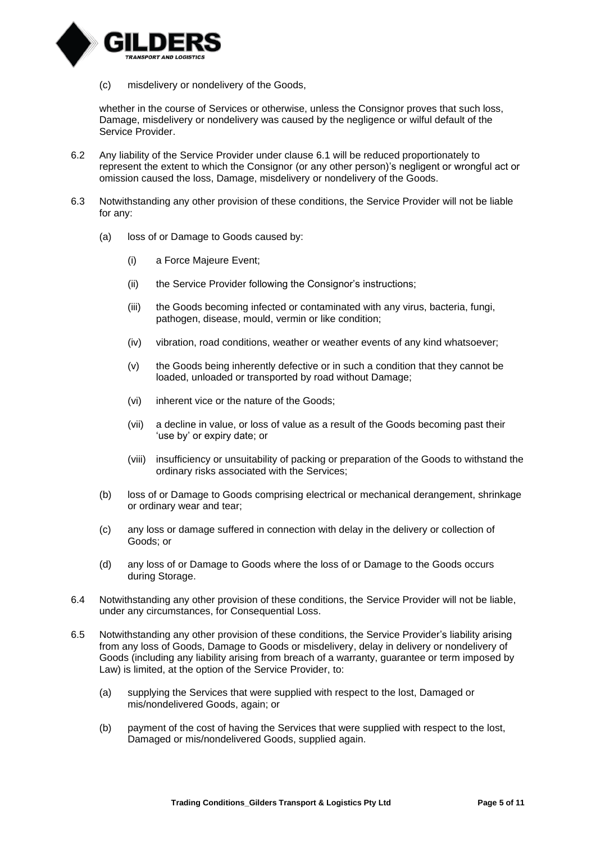

(c) misdelivery or nondelivery of the Goods,

whether in the course of Services or otherwise, unless the Consignor proves that such loss, Damage, misdelivery or nondelivery was caused by the negligence or wilful default of the Service Provider.

- 6.2 Any liability of the Service Provider under clause [6.1](#page-3-4) will be reduced proportionately to represent the extent to which the Consignor (or any other person)'s negligent or wrongful act or omission caused the loss, Damage, misdelivery or nondelivery of the Goods.
- 6.3 Notwithstanding any other provision of these conditions, the Service Provider will not be liable for any:
	- (a) loss of or Damage to Goods caused by:
		- (i) a Force Majeure Event;
		- (ii) the Service Provider following the Consignor's instructions;
		- (iii) the Goods becoming infected or contaminated with any virus, bacteria, fungi, pathogen, disease, mould, vermin or like condition;
		- (iv) vibration, road conditions, weather or weather events of any kind whatsoever;
		- (v) the Goods being inherently defective or in such a condition that they cannot be loaded, unloaded or transported by road without Damage;
		- (vi) inherent vice or the nature of the Goods;
		- (vii) a decline in value, or loss of value as a result of the Goods becoming past their 'use by' or expiry date; or
		- (viii) insufficiency or unsuitability of packing or preparation of the Goods to withstand the ordinary risks associated with the Services;
	- (b) loss of or Damage to Goods comprising electrical or mechanical derangement, shrinkage or ordinary wear and tear;
	- (c) any loss or damage suffered in connection with delay in the delivery or collection of Goods; or
	- (d) any loss of or Damage to Goods where the loss of or Damage to the Goods occurs during Storage.
- 6.4 Notwithstanding any other provision of these conditions, the Service Provider will not be liable, under any circumstances, for Consequential Loss.
- <span id="page-4-0"></span>6.5 Notwithstanding any other provision of these conditions, the Service Provider's liability arising from any loss of Goods, Damage to Goods or misdelivery, delay in delivery or nondelivery of Goods (including any liability arising from breach of a warranty, guarantee or term imposed by Law) is limited, at the option of the Service Provider, to:
	- (a) supplying the Services that were supplied with respect to the lost, Damaged or mis/nondelivered Goods, again; or
	- (b) payment of the cost of having the Services that were supplied with respect to the lost, Damaged or mis/nondelivered Goods, supplied again.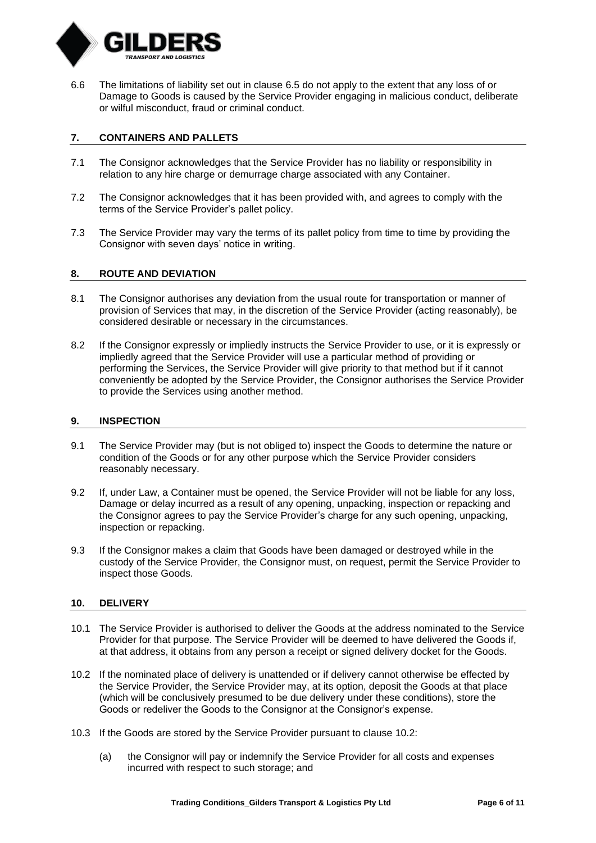

6.6 The limitations of liability set out in clause [6.5](#page-4-0) do not apply to the extent that any loss of or Damage to Goods is caused by the Service Provider engaging in malicious conduct, deliberate or wilful misconduct, fraud or criminal conduct.

# **7. CONTAINERS AND PALLETS**

- 7.1 The Consignor acknowledges that the Service Provider has no liability or responsibility in relation to any hire charge or demurrage charge associated with any Container.
- 7.2 The Consignor acknowledges that it has been provided with, and agrees to comply with the terms of the Service Provider's pallet policy.
- 7.3 The Service Provider may vary the terms of its pallet policy from time to time by providing the Consignor with seven days' notice in writing.

# **8. ROUTE AND DEVIATION**

- 8.1 The Consignor authorises any deviation from the usual route for transportation or manner of provision of Services that may, in the discretion of the Service Provider (acting reasonably), be considered desirable or necessary in the circumstances.
- 8.2 If the Consignor expressly or impliedly instructs the Service Provider to use, or it is expressly or impliedly agreed that the Service Provider will use a particular method of providing or performing the Services, the Service Provider will give priority to that method but if it cannot conveniently be adopted by the Service Provider, the Consignor authorises the Service Provider to provide the Services using another method.

#### **9. INSPECTION**

- 9.1 The Service Provider may (but is not obliged to) inspect the Goods to determine the nature or condition of the Goods or for any other purpose which the Service Provider considers reasonably necessary.
- 9.2 If, under Law, a Container must be opened, the Service Provider will not be liable for any loss, Damage or delay incurred as a result of any opening, unpacking, inspection or repacking and the Consignor agrees to pay the Service Provider's charge for any such opening, unpacking, inspection or repacking.
- 9.3 If the Consignor makes a claim that Goods have been damaged or destroyed while in the custody of the Service Provider, the Consignor must, on request, permit the Service Provider to inspect those Goods.

# **10. DELIVERY**

- 10.1 The Service Provider is authorised to deliver the Goods at the address nominated to the Service Provider for that purpose. The Service Provider will be deemed to have delivered the Goods if, at that address, it obtains from any person a receipt or signed delivery docket for the Goods.
- <span id="page-5-0"></span>10.2 If the nominated place of delivery is unattended or if delivery cannot otherwise be effected by the Service Provider, the Service Provider may, at its option, deposit the Goods at that place (which will be conclusively presumed to be due delivery under these conditions), store the Goods or redeliver the Goods to the Consignor at the Consignor's expense.
- 10.3 If the Goods are stored by the Service Provider pursuant to clause [10.2:](#page-5-0)
	- (a) the Consignor will pay or indemnify the Service Provider for all costs and expenses incurred with respect to such storage; and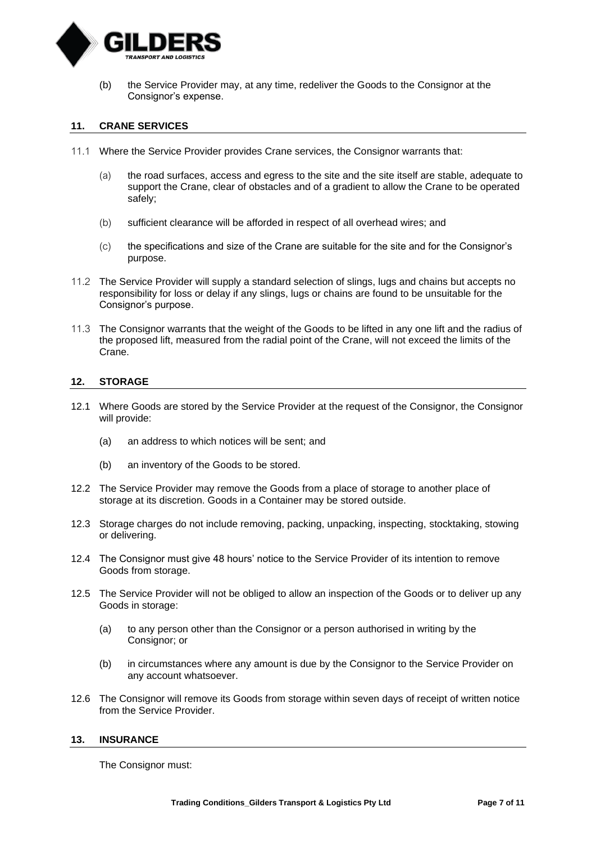

(b) the Service Provider may, at any time, redeliver the Goods to the Consignor at the Consignor's expense.

#### **11. CRANE SERVICES**

- 11.1 Where the Service Provider provides Crane services, the Consignor warrants that:
	- (a) the road surfaces, access and egress to the site and the site itself are stable, adequate to support the Crane, clear of obstacles and of a gradient to allow the Crane to be operated safely;
	- (b) sufficient clearance will be afforded in respect of all overhead wires; and
	- (c) the specifications and size of the Crane are suitable for the site and for the Consignor's purpose.
- 11.2 The Service Provider will supply a standard selection of slings, lugs and chains but accepts no responsibility for loss or delay if any slings, lugs or chains are found to be unsuitable for the Consignor's purpose.
- 11.3 The Consignor warrants that the weight of the Goods to be lifted in any one lift and the radius of the proposed lift, measured from the radial point of the Crane, will not exceed the limits of the Crane.

#### **12. STORAGE**

- 12.1 Where Goods are stored by the Service Provider at the request of the Consignor, the Consignor will provide:
	- (a) an address to which notices will be sent; and
	- (b) an inventory of the Goods to be stored.
- 12.2 The Service Provider may remove the Goods from a place of storage to another place of storage at its discretion. Goods in a Container may be stored outside.
- 12.3 Storage charges do not include removing, packing, unpacking, inspecting, stocktaking, stowing or delivering.
- 12.4 The Consignor must give 48 hours' notice to the Service Provider of its intention to remove Goods from storage.
- 12.5 The Service Provider will not be obliged to allow an inspection of the Goods or to deliver up any Goods in storage:
	- (a) to any person other than the Consignor or a person authorised in writing by the Consignor; or
	- (b) in circumstances where any amount is due by the Consignor to the Service Provider on any account whatsoever.
- 12.6 The Consignor will remove its Goods from storage within seven days of receipt of written notice from the Service Provider.

#### <span id="page-6-0"></span>**13. INSURANCE**

The Consignor must: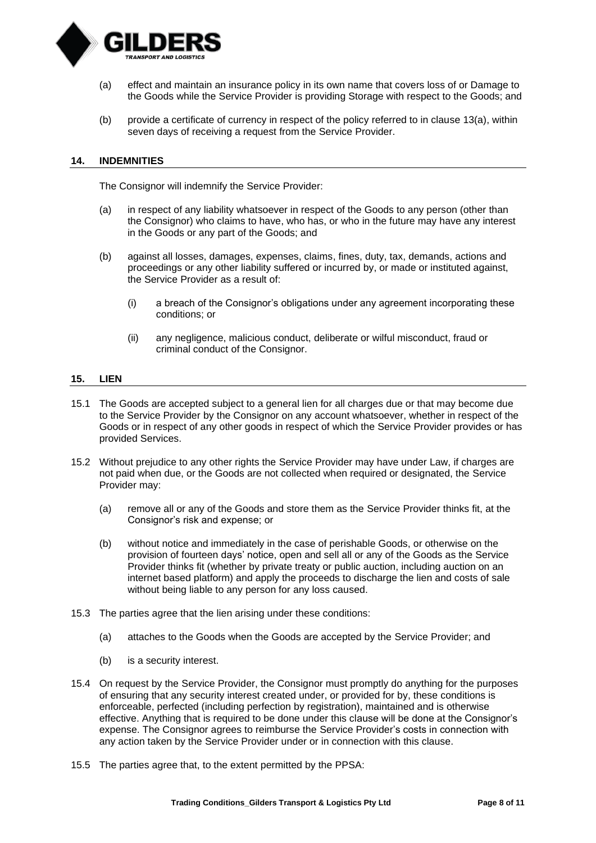

- <span id="page-7-0"></span>(a) effect and maintain an insurance policy in its own name that covers loss of or Damage to the Goods while the Service Provider is providing Storage with respect to the Goods; and
- (b) provide a certificate of currency in respect of the policy referred to in clause [13\(a\),](#page-7-0) within seven days of receiving a request from the Service Provider.

#### **14. INDEMNITIES**

The Consignor will indemnify the Service Provider:

- (a) in respect of any liability whatsoever in respect of the Goods to any person (other than the Consignor) who claims to have, who has, or who in the future may have any interest in the Goods or any part of the Goods; and
- (b) against all losses, damages, expenses, claims, fines, duty, tax, demands, actions and proceedings or any other liability suffered or incurred by, or made or instituted against, the Service Provider as a result of:
	- (i) a breach of the Consignor's obligations under any agreement incorporating these conditions; or
	- (ii) any negligence, malicious conduct, deliberate or wilful misconduct, fraud or criminal conduct of the Consignor.

#### **15. LIEN**

- 15.1 The Goods are accepted subject to a general lien for all charges due or that may become due to the Service Provider by the Consignor on any account whatsoever, whether in respect of the Goods or in respect of any other goods in respect of which the Service Provider provides or has provided Services.
- 15.2 Without prejudice to any other rights the Service Provider may have under Law, if charges are not paid when due, or the Goods are not collected when required or designated, the Service Provider may:
	- (a) remove all or any of the Goods and store them as the Service Provider thinks fit, at the Consignor's risk and expense; or
	- (b) without notice and immediately in the case of perishable Goods, or otherwise on the provision of fourteen days' notice, open and sell all or any of the Goods as the Service Provider thinks fit (whether by private treaty or public auction, including auction on an internet based platform) and apply the proceeds to discharge the lien and costs of sale without being liable to any person for any loss caused.
- 15.3 The parties agree that the lien arising under these conditions:
	- (a) attaches to the Goods when the Goods are accepted by the Service Provider; and
	- (b) is a security interest.
- 15.4 On request by the Service Provider, the Consignor must promptly do anything for the purposes of ensuring that any security interest created under, or provided for by, these conditions is enforceable, perfected (including perfection by registration), maintained and is otherwise effective. Anything that is required to be done under this clause will be done at the Consignor's expense. The Consignor agrees to reimburse the Service Provider's costs in connection with any action taken by the Service Provider under or in connection with this clause.
- 15.5 The parties agree that, to the extent permitted by the PPSA: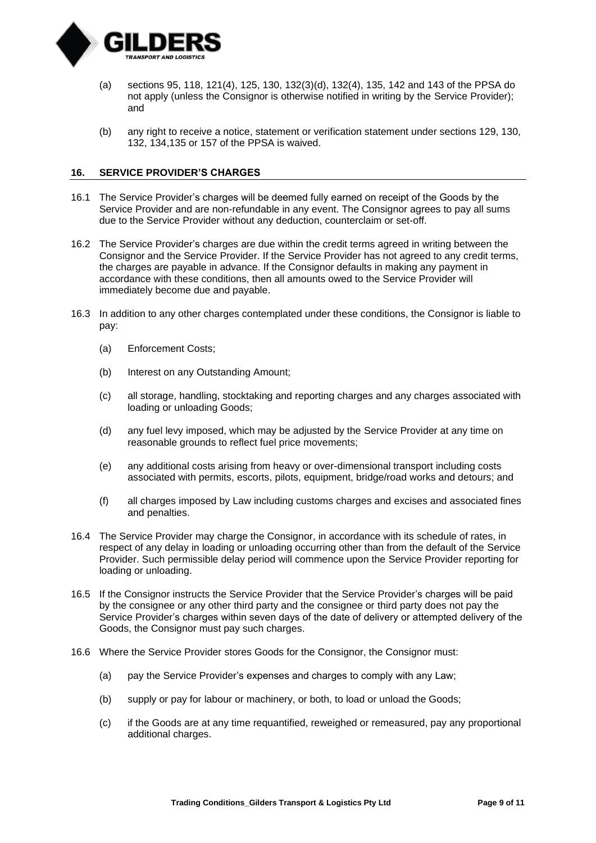

- (a) sections 95, 118, 121(4), 125, 130, 132(3)(d), 132(4), 135, 142 and 143 of the PPSA do not apply (unless the Consignor is otherwise notified in writing by the Service Provider); and
- (b) any right to receive a notice, statement or verification statement under sections 129, 130, 132, 134,135 or 157 of the PPSA is waived.

# **16. SERVICE PROVIDER'S CHARGES**

- 16.1 The Service Provider's charges will be deemed fully earned on receipt of the Goods by the Service Provider and are non-refundable in any event. The Consignor agrees to pay all sums due to the Service Provider without any deduction, counterclaim or set-off.
- 16.2 The Service Provider's charges are due within the credit terms agreed in writing between the Consignor and the Service Provider. If the Service Provider has not agreed to any credit terms, the charges are payable in advance. If the Consignor defaults in making any payment in accordance with these conditions, then all amounts owed to the Service Provider will immediately become due and payable.
- 16.3 In addition to any other charges contemplated under these conditions, the Consignor is liable to pay:
	- (a) Enforcement Costs;
	- (b) Interest on any Outstanding Amount;
	- (c) all storage, handling, stocktaking and reporting charges and any charges associated with loading or unloading Goods;
	- (d) any fuel levy imposed, which may be adjusted by the Service Provider at any time on reasonable grounds to reflect fuel price movements;
	- (e) any additional costs arising from heavy or over-dimensional transport including costs associated with permits, escorts, pilots, equipment, bridge/road works and detours; and
	- (f) all charges imposed by Law including customs charges and excises and associated fines and penalties.
- 16.4 The Service Provider may charge the Consignor, in accordance with its schedule of rates, in respect of any delay in loading or unloading occurring other than from the default of the Service Provider. Such permissible delay period will commence upon the Service Provider reporting for loading or unloading.
- 16.5 If the Consignor instructs the Service Provider that the Service Provider's charges will be paid by the consignee or any other third party and the consignee or third party does not pay the Service Provider's charges within seven days of the date of delivery or attempted delivery of the Goods, the Consignor must pay such charges.
- 16.6 Where the Service Provider stores Goods for the Consignor, the Consignor must:
	- (a) pay the Service Provider's expenses and charges to comply with any Law;
	- (b) supply or pay for labour or machinery, or both, to load or unload the Goods;
	- (c) if the Goods are at any time requantified, reweighed or remeasured, pay any proportional additional charges.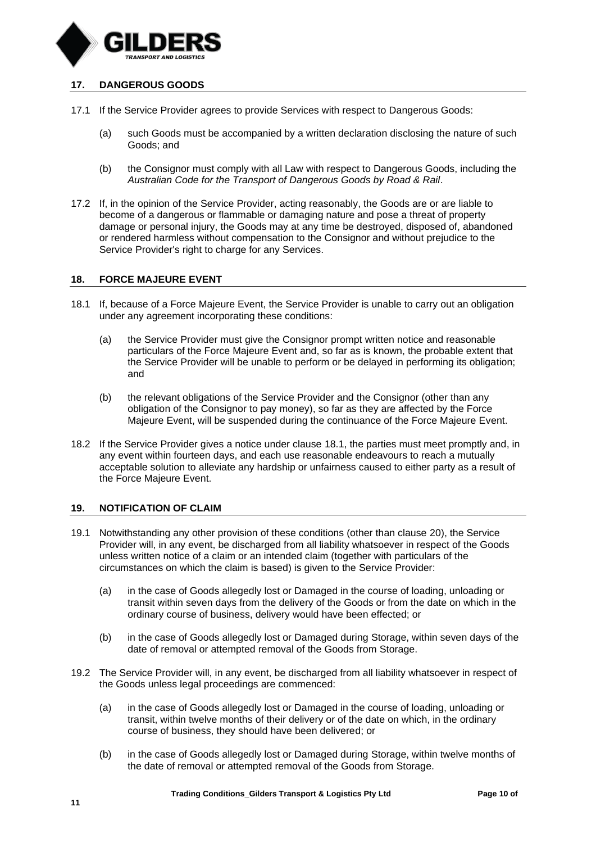

# <span id="page-9-0"></span>**17. DANGEROUS GOODS**

- 17.1 If the Service Provider agrees to provide Services with respect to Dangerous Goods:
	- (a) such Goods must be accompanied by a written declaration disclosing the nature of such Goods; and
	- (b) the Consignor must comply with all Law with respect to Dangerous Goods, including the *Australian Code for the Transport of Dangerous Goods by Road & Rail*.
- 17.2 If, in the opinion of the Service Provider, acting reasonably, the Goods are or are liable to become of a dangerous or flammable or damaging nature and pose a threat of property damage or personal injury, the Goods may at any time be destroyed, disposed of, abandoned or rendered harmless without compensation to the Consignor and without prejudice to the Service Provider's right to charge for any Services.

#### **18. FORCE MAJEURE EVENT**

- <span id="page-9-1"></span>18.1 If, because of a Force Majeure Event, the Service Provider is unable to carry out an obligation under any agreement incorporating these conditions:
	- (a) the Service Provider must give the Consignor prompt written notice and reasonable particulars of the Force Majeure Event and, so far as is known, the probable extent that the Service Provider will be unable to perform or be delayed in performing its obligation; and
	- (b) the relevant obligations of the Service Provider and the Consignor (other than any obligation of the Consignor to pay money), so far as they are affected by the Force Majeure Event, will be suspended during the continuance of the Force Majeure Event.
- 18.2 If the Service Provider gives a notice under clause [18.1,](#page-9-1) the parties must meet promptly and, in any event within fourteen days, and each use reasonable endeavours to reach a mutually acceptable solution to alleviate any hardship or unfairness caused to either party as a result of the Force Majeure Event.

# **19. NOTIFICATION OF CLAIM**

- 19.1 Notwithstanding any other provision of these conditions (other than clause [20\)](#page-10-0), the Service Provider will, in any event, be discharged from all liability whatsoever in respect of the Goods unless written notice of a claim or an intended claim (together with particulars of the circumstances on which the claim is based) is given to the Service Provider:
	- (a) in the case of Goods allegedly lost or Damaged in the course of loading, unloading or transit within seven days from the delivery of the Goods or from the date on which in the ordinary course of business, delivery would have been effected; or
	- (b) in the case of Goods allegedly lost or Damaged during Storage, within seven days of the date of removal or attempted removal of the Goods from Storage.
- 19.2 The Service Provider will, in any event, be discharged from all liability whatsoever in respect of the Goods unless legal proceedings are commenced:
	- (a) in the case of Goods allegedly lost or Damaged in the course of loading, unloading or transit, within twelve months of their delivery or of the date on which, in the ordinary course of business, they should have been delivered; or
	- (b) in the case of Goods allegedly lost or Damaged during Storage, within twelve months of the date of removal or attempted removal of the Goods from Storage.